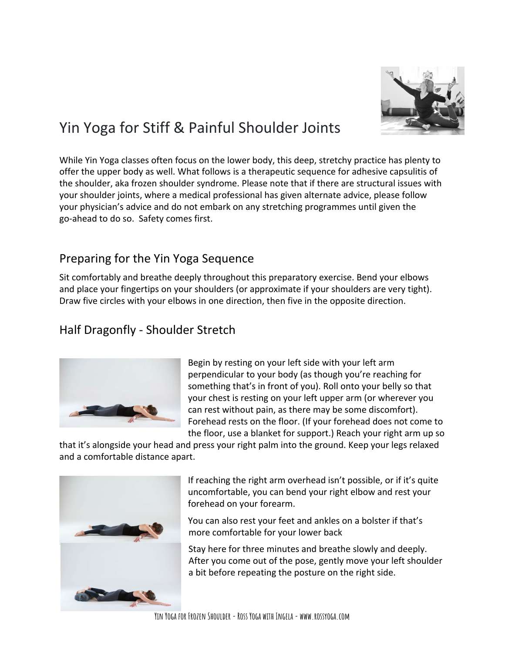

# Yin Yoga for Stiff & Painful Shoulder Joints

While Yin Yoga classes often focus on the lower body, this deep, stretchy practice has plenty to offer the upper body as well. What follows is a therapeutic sequence for adhesive capsulitis of the shoulder, aka frozen shoulder syndrome. Please note that if there are structural issues with your shoulder joints, where a medical professional has given alternate advice, please follow your physician's advice and do not embark on any stretching programmes until given the go-ahead to do so. Safety comes first.

## Preparing for the Yin Yoga Sequence

Sit comfortably and breathe deeply throughout this preparatory exercise. Bend your elbows and place your fingertips on your shoulders (or approximate if your shoulders are very tight). Draw five circles with your elbows in one direction, then five in the opposite direction.

# Half Dragonfly - Shoulder Stretch



Begin by resting on your left side with your left arm perpendicular to your body (as though you're reaching for something that's in front of you). Roll onto your belly so that your chest is resting on your left upper arm (or wherever you can rest without pain, as there may be some discomfort). Forehead rests on the floor. (If your forehead does not come to the floor, use a blanket for support.) Reach your right arm up so

that it's alongside your head and press your right palm into the ground. Keep your legs relaxed and a comfortable distance apart.



If reaching the right arm overhead isn't possible, or if it's quite uncomfortable, you can bend your right elbow and rest your forehead on your forearm.

You can also rest your feet and ankles on a bolster if that's more comfortable for your lower back

Stay here for three minutes and breathe slowly and deeply. After you come out of the pose, gently move your left shoulder a bit before repeating the posture on the right side.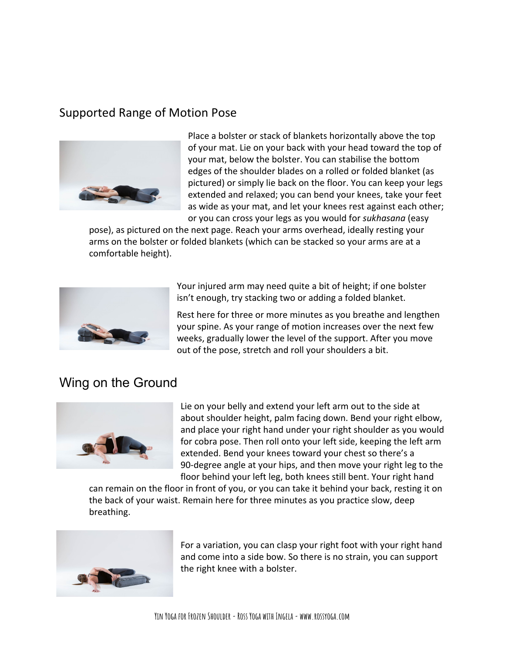#### Supported Range of Motion Pose



Place a bolster or stack of blankets horizontally above the top of your mat. Lie on your back with your head toward the top of your mat, below the bolster. You can stabilise the bottom edges of the shoulder blades on a rolled or folded blanket (as pictured) or simply lie back on the floor. You can keep your legs extended and relaxed; you can bend your knees, take your feet as wide as your mat, and let your knees rest against each other; or you can cross your legs as you would for *sukhasana* (easy

pose), as pictured on the next page. Reach your arms overhead, ideally resting your arms on the bolster or folded blankets (which can be stacked so your arms are at a comfortable height).



Your injured arm may need quite a bit of height; if one bolster isn't enough, try stacking two or adding a folded blanket.

Rest here for three or more minutes as you breathe and lengthen your spine. As your range of motion increases over the next few weeks, gradually lower the level of the support. After you move out of the pose, stretch and roll your shoulders a bit.

## Wing on the Ground



Lie on your belly and extend your left arm out to the side at about shoulder height, palm facing down. Bend your right elbow, and place your right hand under your right shoulder as you would for cobra pose. Then roll onto your left side, keeping the left arm extended. Bend your knees toward your chest so there's a 90-degree angle at your hips, and then move your right leg to the floor behind your left leg, both knees still bent. Your right hand

can remain on the floor in front of you, or you can take it behind your back, resting it on the back of your waist. Remain here for three minutes as you practice slow, deep breathing.



For a variation, you can clasp your right foot with your right hand and come into a side bow. So there is no strain, you can support the right knee with a bolster.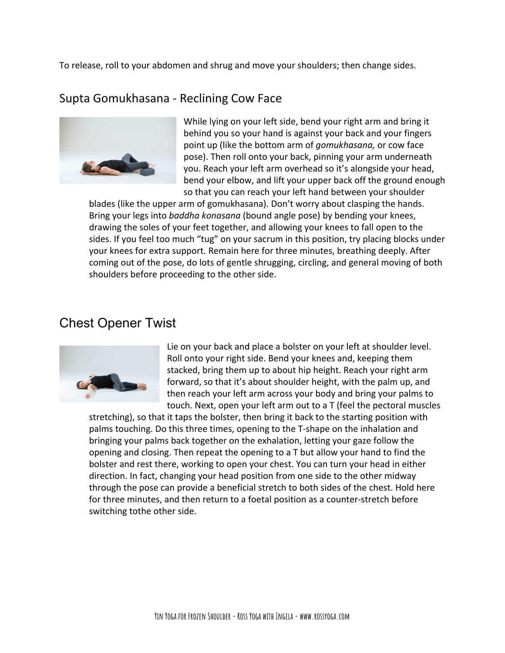To release, roll to your abdomen and shrug and move your shoulders; then change sides.

#### Supta Gomukhasana - Reclining Cow Face



While lying on your left side, bend your right arm and bring it behind you so your hand is against your back and your fingers point up (like the bottom arm of *gomukhasana,* or [cow face](https://yogainternational.com/article/view/cow-face-pose) [pose](https://yogainternational.com/article/view/cow-face-pose)). Then roll onto your back, pinning your arm underneath you. Reach your left arm overhead so it's alongside your head, bend your elbow, and lift your upper back off the ground enough so that you can reach your left hand between your shoulder

blades (like the upper arm of gomukhasana). Don't worry about clasping the hands. Bring your legs into *baddha konasana* (bound angle pose) by bending your knees, drawing the soles of your feet together, and allowing your knees to fall open to the sides. If you feel too much "tug" on your sacrum in this position, try placing blocks under your knees for extra support. Remain here for three minutes, breathing deeply. After coming out of the pose, do lots of gentle shrugging, circling, and general moving of both shoulders before proceeding to the other side.

#### Chest Opener Twist



Lie on your back and place a bolster on your left at shoulder level. Roll onto your right side. Bend your knees and, keeping them stacked, bring them up to about hip height. Reach your right arm forward, so that it's about shoulder height, with the palm up, and then reach your left arm across your body and bring your palms to touch. Next, open your left arm out to a T (feel the pectoral muscles

stretching), so that it taps the bolster, then bring it back to the starting position with palms touching. Do this three times, opening to the T-shape on the inhalation and bringing your palms back together on the exhalation, letting your gaze follow the opening and closing. Then repeat the opening to a T but allow your hand to find the bolster and rest there, working to open your chest. You can turn your head in either direction. In fact, changing your head position from one side to the other midway through the pose can provide a beneficial stretch to both sides of the chest. Hold here for three minutes, and then return to a foetal position as a counter-stretch before switching tothe other side.